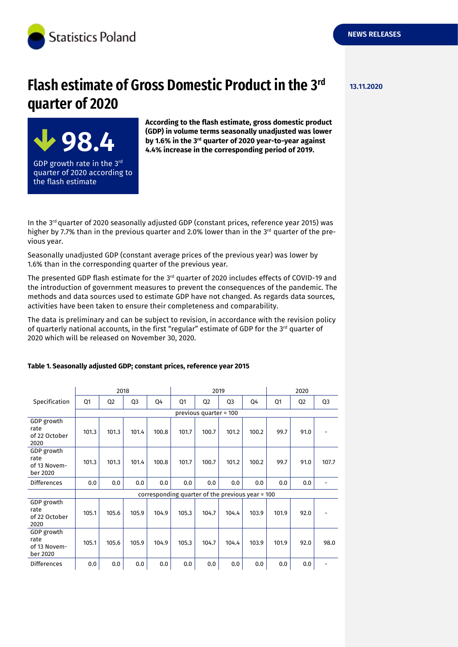

**98.4**

GDP growth rate in the 3 $^{\mathsf{rd}}$ quarter of 2020 according to

the flash estimate

# **Flash estimate of Gross Domestic Product in the 3<sup>rd</sup> 13.11.2020 quarter of 2020**

**According to the flash estimate, gross domestic product (GDP) in volume terms seasonally unadjusted was lower** by 1.6% in the 3<sup>rd</sup> quarter of 2020 year-to-year against **4.4% increase in the corresponding period of 2019.**

In the 3<sup>rd</sup> quarter of 2020 seasonally adjusted GDP (constant prices, reference year 2015) was higher by 7.7% than in the previous quarter and 2.0% lower than in the 3<sup>rd</sup> quarter of the previous year.

Seasonally unadjusted GDP (constant average prices of the previous year) was lower by 1.6% than in the corresponding quarter of the previous year.

The presented GDP flash estimate for the  $3^{rd}$  quarter of 2020 includes effects of COVID-19 and the introduction of government measures to prevent the consequences of the pandemic. The methods and data sources used to estimate GDP have not changed. As regards data sources, activities have been taken to ensure their completeness and comparability.

The data is preliminary and can be subject to revision, in accordance with the revision policy of quarterly national accounts, in the first "regular" estimate of GDP for the 3<sup>rd</sup> quarter of 2020 which will be released on November 30, 2020.

|                                                | 2018                                             |                |                |       | 2019  |                |                |       | 2020  |                |                |
|------------------------------------------------|--------------------------------------------------|----------------|----------------|-------|-------|----------------|----------------|-------|-------|----------------|----------------|
| Specification                                  | Q1                                               | Q <sub>2</sub> | Q <sub>3</sub> | Q4    | Q1    | Q <sub>2</sub> | Q <sub>3</sub> | Q4    | Q1    | Q <sub>2</sub> | Q <sub>3</sub> |
|                                                | previous quarter = 100                           |                |                |       |       |                |                |       |       |                |                |
| GDP growth<br>rate<br>of 22 October<br>2020    | 101.3                                            | 101.3          | 101.4          | 100.8 | 101.7 | 100.7          | 101.2          | 100.2 | 99.7  | 91.0           |                |
| GDP growth<br>rate<br>of 13 Novem-<br>ber 2020 | 101.3                                            | 101.3          | 101.4          | 100.8 | 101.7 | 100.7          | 101.2          | 100.2 | 99.7  | 91.0           | 107.7          |
| <b>Differences</b>                             | 0.0                                              | 0.0            | 0.0            | 0.0   | 0.0   | 0.0            | 0.0            | 0.0   | 0.0   | 0.0            |                |
|                                                | corresponding quarter of the previous year = 100 |                |                |       |       |                |                |       |       |                |                |
| GDP growth<br>rate<br>of 22 October<br>2020    | 105.1                                            | 105.6          | 105.9          | 104.9 | 105.3 | 104.7          | 104.4          | 103.9 | 101.9 | 92.0           |                |
| GDP growth<br>rate<br>of 13 Novem-<br>ber 2020 | 105.1                                            | 105.6          | 105.9          | 104.9 | 105.3 | 104.7          | 104.4          | 103.9 | 101.9 | 92.0           | 98.0           |
| <b>Differences</b>                             | 0.0                                              | 0.0            | 0.0            | 0.0   | 0.0   | 0.0            | 0.0            | 0.0   | 0.0   | 0.0            |                |

#### **Table 1. Seasonally adjusted GDP; constant prices, reference year 2015**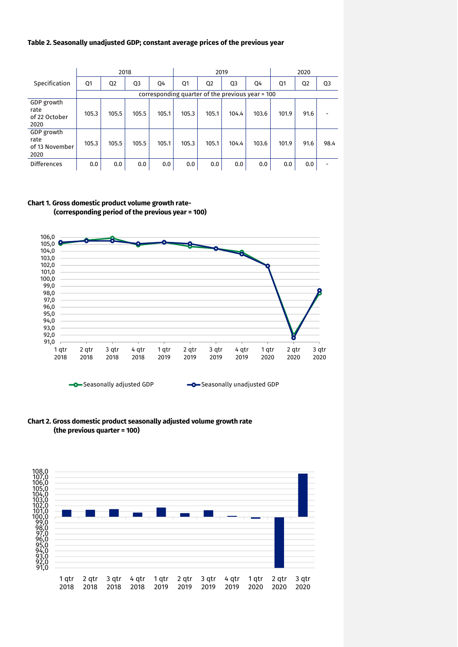#### **Table 2. Seasonally unadjusted GDP; constant average prices of the previous year**

|                                              | 2018                                             |                |                |       | 2019  |                |                |       | 2020  |                |                |
|----------------------------------------------|--------------------------------------------------|----------------|----------------|-------|-------|----------------|----------------|-------|-------|----------------|----------------|
| Specification                                | Q1                                               | Q <sub>2</sub> | Q <sub>3</sub> | 04    | Q1    | Q <sub>2</sub> | Q <sub>3</sub> | Q4    | Q1    | Q <sub>2</sub> | Q <sub>3</sub> |
|                                              | corresponding quarter of the previous year = 100 |                |                |       |       |                |                |       |       |                |                |
| GDP growth<br>rate<br>of 22 October<br>2020  | 105.3                                            | 105.5          | 105.5          | 105.1 | 105.3 | 105.1          | 104.4          | 103.6 | 101.9 | 91.6           |                |
| GDP growth<br>rate<br>of 13 November<br>2020 | 105.3                                            | 105.5          | 105.5          | 105.1 | 105.3 | 105.1          | 104.4          | 103.6 | 101.9 | 91.6           | 98.4           |
| Differences                                  | 0.0                                              | 0.0            | 0.0            | 0.0   | 0.0   | 0.0            | 0.0            | 0.0   | 0.0   | 0.0            |                |

#### **Chart 1. Gross domestic product volume growth rate- (corresponding period of the previous year = 100)**



**-O**-Seasonally adjusted GDP **C-Seasonally unadjusted GDP** 

#### **Chart 2. Gross domestic product seasonally adjusted volume growth rate (the previous quarter = 100)**

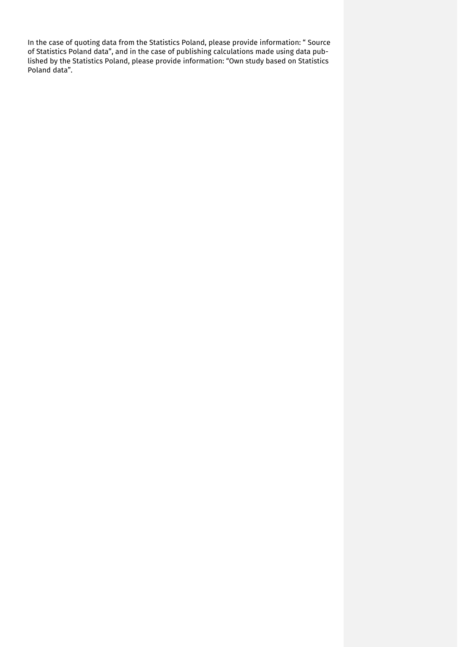In the case of quoting data from the Statistics Poland, please provide information: " Source of Statistics Poland data", and in the case of publishing calculations made using data published by the Statistics Poland, please provide information: "Own study based on Statistics Poland data".